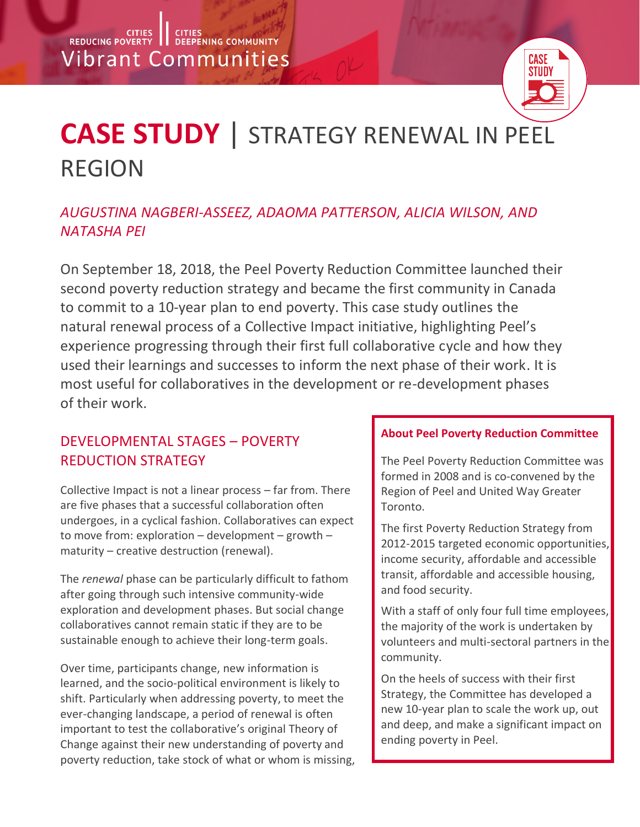## **CASE STUDY** | STRATEGY RENEWAL IN PEEL REGION

## *AUGUSTINA NAGBERI-ASSEEZ, ADAOMA PATTERSON, ALICIA WILSON, AND NATASHA PEI*

On September 18, 2018, the Peel Poverty Reduction Committee launched their second poverty reduction strategy and became the first community in Canada to commit to a 10-year plan to end poverty. This case study outlines the natural renewal process of a Collective Impact initiative, highlighting Peel's experience progressing through their first full collaborative cycle and how they used their learnings and successes to inform the next phase of their work. It is most useful for collaboratives in the development or re-development phases of their work.

### DEVELOPMENTAL STAGES – POVERTY REDUCTION STRATEGY

Collective Impact is not a linear process – far from. There are five phases that a successful collaboration often undergoes, in a cyclical fashion. Collaboratives can expect to move from: exploration – development – growth – maturity – creative destruction (renewal).

The *renewal* phase can be particularly difficult to fathom after going through such intensive community-wide exploration and development phases. But social change collaboratives cannot remain static if they are to be sustainable enough to achieve their long-term goals.

Over time, participants change, new information is learned, and the socio-political environment is likely to shift. Particularly when addressing poverty, to meet the ever-changing landscape, a period of renewal is often important to test the collaborative's original Theory of Change against their new understanding of poverty and poverty reduction, take stock of what or whom is missing,

#### **About Peel Poverty Reduction Committee**

STIIN

The Peel Poverty Reduction Committee was formed in 2008 and is co-convened by the Region of Peel and United Way Greater Toronto.

The first Poverty Reduction Strategy from 2012-2015 targeted economic opportunities, income security, affordable and accessible transit, affordable and accessible housing, and food security.

With a staff of only four full time employees, the majority of the work is undertaken by volunteers and multi-sectoral partners in the community.

On the heels of success with their first Strategy, the Committee has developed a new 10-year plan to scale the work up, out and deep, and make a significant impact on ending poverty in Peel.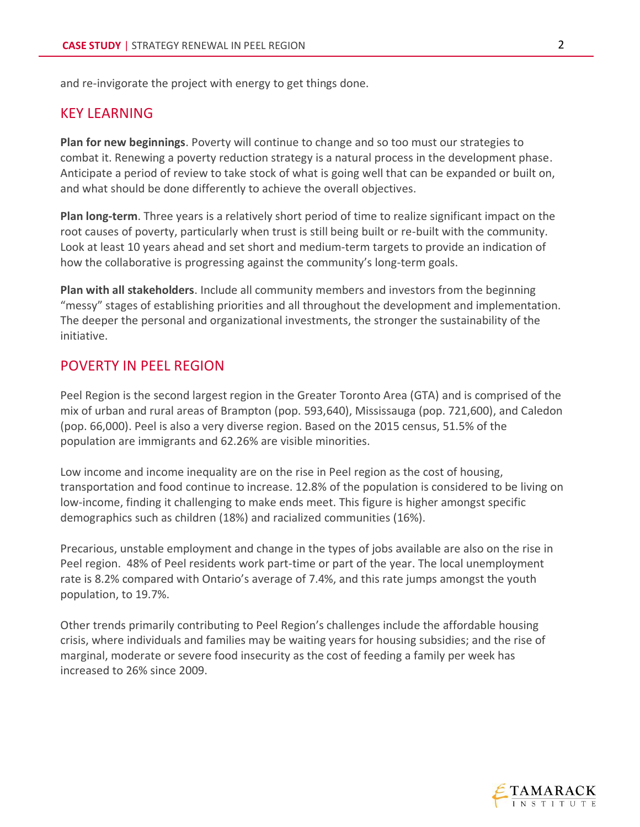and re-invigorate the project with energy to get things done.

#### KEY LEARNING

**Plan for new beginnings**. Poverty will continue to change and so too must our strategies to combat it. Renewing a poverty reduction strategy is a natural process in the development phase. Anticipate a period of review to take stock of what is going well that can be expanded or built on, and what should be done differently to achieve the overall objectives.

**Plan long-term**. Three years is a relatively short period of time to realize significant impact on the root causes of poverty, particularly when trust is still being built or re-built with the community. Look at least 10 years ahead and set short and medium-term targets to provide an indication of how the collaborative is progressing against the community's long-term goals.

**Plan with all stakeholders**. Include all community members and investors from the beginning "messy" stages of establishing priorities and all throughout the development and implementation. The deeper the personal and organizational investments, the stronger the sustainability of the initiative.

#### POVERTY IN PEEL REGION

Peel Region is the second largest region in the Greater Toronto Area (GTA) and is comprised of the mix of urban and rural areas of Brampton (pop. 593,640), Mississauga (pop. 721,600), and Caledon (pop. 66,000). Peel is also a very diverse region. Based on the 2015 census, 51.5% of the population are immigrants and 62.26% are visible minorities.

Low income and income inequality are on the rise in Peel region as the cost of housing, transportation and food continue to increase. 12.8% of the population is considered to be living on low-income, finding it challenging to make ends meet. This figure is higher amongst specific demographics such as children (18%) and racialized communities (16%).

Precarious, unstable employment and change in the types of jobs available are also on the rise in Peel region. 48% of Peel residents work part-time or part of the year. The local unemployment rate is 8.2% compared with Ontario's average of 7.4%, and this rate jumps amongst the youth population, to 19.7%.

Other trends primarily contributing to Peel Region's challenges include the affordable housing crisis, where individuals and families may be waiting years for housing subsidies; and the rise of marginal, moderate or severe food insecurity as the cost of feeding a family per week has increased to 26% since 2009.

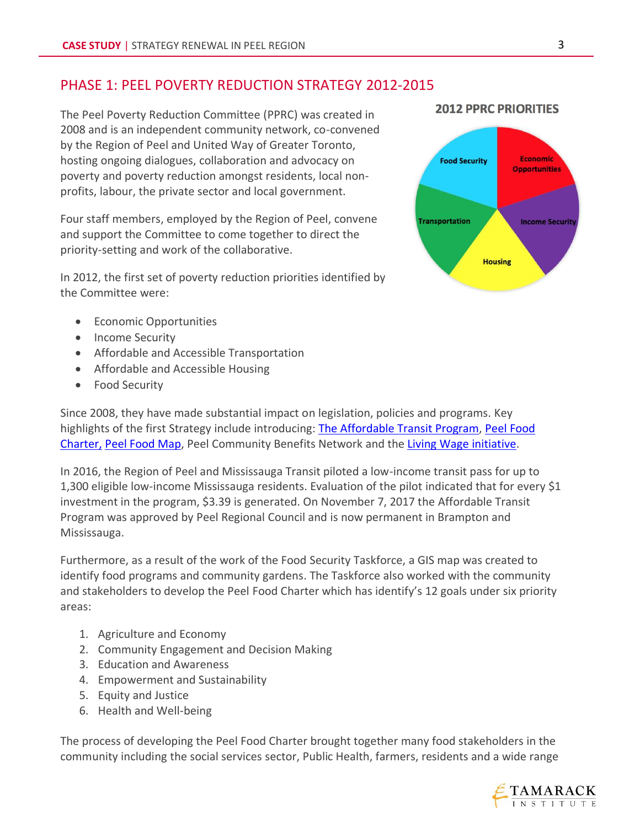#### PHASE 1: PEEL POVERTY REDUCTION STRATEGY 2012-2015

The Peel Poverty Reduction Committee (PPRC) was created in 2008 and is an independent community network, co-convened by the Region of Peel and United Way of Greater Toronto, hosting ongoing dialogues, collaboration and advocacy on poverty and poverty reduction amongst residents, local nonprofits, labour, the private sector and local government.

Four staff members, employed by the Region of Peel, convene and support the Committee to come together to direct the priority-setting and work of the collaborative.

In 2012, the first set of poverty reduction priorities identified by the Committee were:

- Economic Opportunities
- Income Security
- Affordable and Accessible Transportation
- Affordable and Accessible Housing
- Food Security

Since 2008, they have made substantial impact on legislation, policies and programs. Key highlights of the first Strategy include introducing: [The Affordable Transit Program,](https://www.mayorcrombie.ca/mississauga-peel-council-drive-affordable-transit-program-phase-two/) [Peel Food](http://www.povertyinpeel.ca/_include/peel-food-charter.pdf)  [Charter,](http://www.povertyinpeel.ca/_include/peel-food-charter.pdf) [Peel Food Map,](https://peelregion.ca/planning-maps/foodprograms/foodprograms.html) Peel Community Benefits Network and the [Living Wage initiative.](http://www.ontariolivingwage.ca/living_wage_by_region)

In 2016, the Region of Peel and Mississauga Transit piloted a low-income transit pass for up to 1,300 eligible low-income Mississauga residents. Evaluation of the pilot indicated that for every \$1 investment in the program, \$3.39 is generated. On November 7, 2017 the Affordable Transit Program was approved by Peel Regional Council and is now permanent in Brampton and Mississauga.

Furthermore, as a result of the work of the Food Security Taskforce, a GIS map was created to identify food programs and community gardens. The Taskforce also worked with the community and stakeholders to develop the Peel Food Charter which has identify's 12 goals under six priority areas:

- 1. Agriculture and Economy
- 2. Community Engagement and Decision Making
- 3. Education and Awareness
- 4. Empowerment and Sustainability
- 5. Equity and Justice
- 6. Health and Well-being

The process of developing the Peel Food Charter brought together many food stakeholders in the community including the social services sector, Public Health, farmers, residents and a wide range



#### **2012 PPRC PRIORITIES**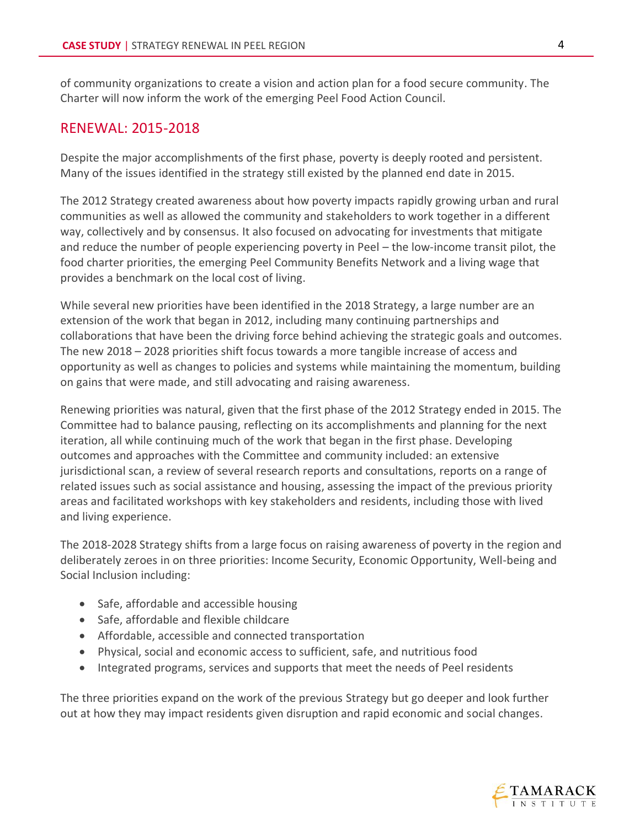of community organizations to create a vision and action plan for a food secure community. The Charter will now inform the work of the emerging Peel Food Action Council.

#### RENEWAL: 2015-2018

Despite the major accomplishments of the first phase, poverty is deeply rooted and persistent. Many of the issues identified in the strategy still existed by the planned end date in 2015.

The 2012 Strategy created awareness about how poverty impacts rapidly growing urban and rural communities as well as allowed the community and stakeholders to work together in a different way, collectively and by consensus. It also focused on advocating for investments that mitigate and reduce the number of people experiencing poverty in Peel – the low-income transit pilot, the food charter priorities, the emerging Peel Community Benefits Network and a living wage that provides a benchmark on the local cost of living.

While several new priorities have been identified in the 2018 Strategy, a large number are an extension of the work that began in 2012, including many continuing partnerships and collaborations that have been the driving force behind achieving the strategic goals and outcomes. The new 2018 – 2028 priorities shift focus towards a more tangible increase of access and opportunity as well as changes to policies and systems while maintaining the momentum, building on gains that were made, and still advocating and raising awareness.

Renewing priorities was natural, given that the first phase of the 2012 Strategy ended in 2015. The Committee had to balance pausing, reflecting on its accomplishments and planning for the next iteration, all while continuing much of the work that began in the first phase. Developing outcomes and approaches with the Committee and community included: an extensive jurisdictional scan, a review of several research reports and consultations, reports on a range of related issues such as social assistance and housing, assessing the impact of the previous priority areas and facilitated workshops with key stakeholders and residents, including those with lived and living experience.

The 2018-2028 Strategy shifts from a large focus on raising awareness of poverty in the region and deliberately zeroes in on three priorities: Income Security, Economic Opportunity, Well-being and Social Inclusion including:

- Safe, affordable and accessible housing
- Safe, affordable and flexible childcare
- Affordable, accessible and connected transportation
- Physical, social and economic access to sufficient, safe, and nutritious food
- Integrated programs, services and supports that meet the needs of Peel residents

The three priorities expand on the work of the previous Strategy but go deeper and look further out at how they may impact residents given disruption and rapid economic and social changes.

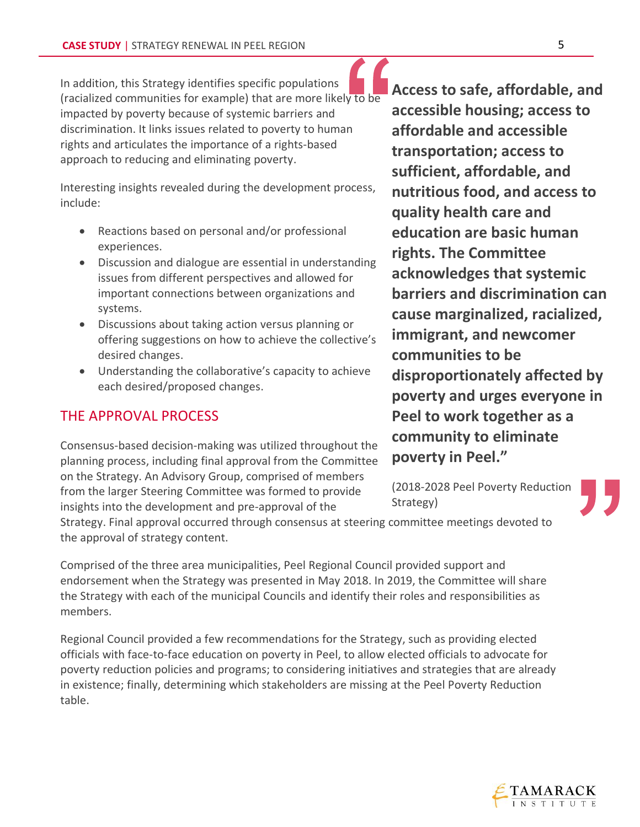In addition, this Strategy identifies specific populations (racialized communities for example) that are more likely to be impacted by poverty because of systemic barriers and discrimination. It links issues related to poverty to human rights and articulates the importance of a rights-based approach to reducing and eliminating poverty.

Interesting insights revealed during the development process, include:

- Reactions based on personal and/or professional experiences.
- Discussion and dialogue are essential in understanding issues from different perspectives and allowed for important connections between organizations and systems.
- Discussions about taking action versus planning or offering suggestions on how to achieve the collective's desired changes.
- Understanding the collaborative's capacity to achieve each desired/proposed changes.

#### THE APPROVAL PROCESS

Consensus-based decision-making was utilized throughout the planning process, including final approval from the Committee on the Strategy. An Advisory Group, comprised of members from the larger Steering Committee was formed to provide insights into the development and pre-approval of the

**Access to safe, affordable, and accessible housing; access to affordable and accessible transportation; access to sufficient, affordable, and nutritious food, and access to quality health care and education are basic human rights. The Committee acknowledges that systemic barriers and discrimination can cause marginalized, racialized, immigrant, and newcomer communities to be disproportionately affected by poverty and urges everyone in Peel to work together as a community to eliminate poverty in Peel."**

(2018-2028 Peel Poverty Reduction Strategy)

Strategy. Final approval occurred through consensus at steering committee meetings devoted to the approval of strategy content.

Comprised of the three area municipalities, Peel Regional Council provided support and endorsement when the Strategy was presented in May 2018. In 2019, the Committee will share the Strategy with each of the municipal Councils and identify their roles and responsibilities as members.

Regional Council provided a few recommendations for the Strategy, such as providing elected officials with face-to-face education on poverty in Peel, to allow elected officials to advocate for poverty reduction policies and programs; to considering initiatives and strategies that are already in existence; finally, determining which stakeholders are missing at the Peel Poverty Reduction table.

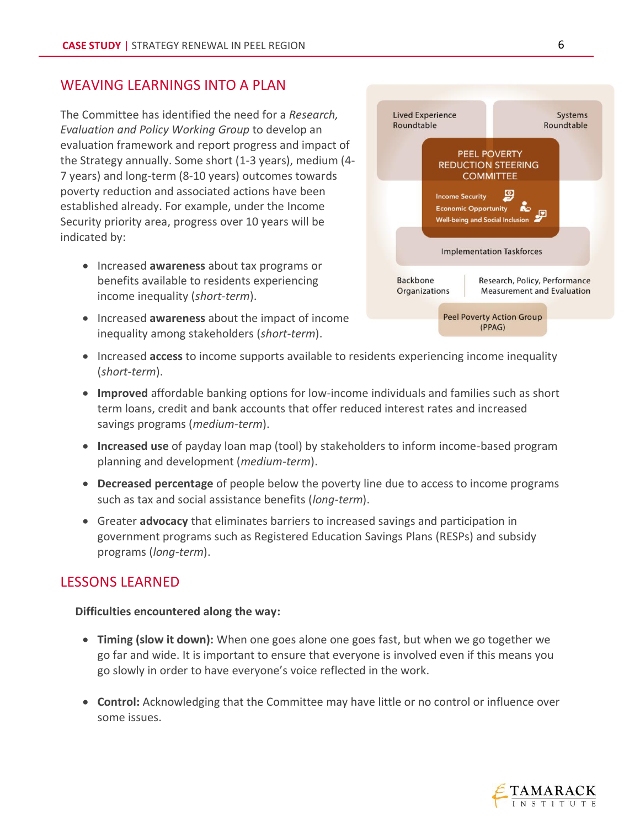#### WEAVING LEARNINGS INTO A PLAN

The Committee has identified the need for a *Research, Evaluation and Policy Working Group* to develop an evaluation framework and report progress and impact of the Strategy annually. Some short (1-3 years), medium (4- 7 years) and long-term (8-10 years) outcomes towards poverty reduction and associated actions have been established already. For example, under the Income Security priority area, progress over 10 years will be indicated by:

- Increased **awareness** about tax programs or benefits available to residents experiencing income inequality (*short-term*).
- Increased **awareness** about the impact of income inequality among stakeholders (*short-term*).



- Increased **access** to income supports available to residents experiencing income inequality (*short-term*).
- **Improved** affordable banking options for low-income individuals and families such as short term loans, credit and bank accounts that offer reduced interest rates and increased savings programs (*medium-term*).
- **Increased use** of payday loan map (tool) by stakeholders to inform income-based program planning and development (*medium-term*).
- **Decreased percentage** of people below the poverty line due to access to income programs such as tax and social assistance benefits (*long-term*).
- Greater **advocacy** that eliminates barriers to increased savings and participation in government programs such as Registered Education Savings Plans (RESPs) and subsidy programs (*long-term*).

#### LESSONS LEARNED

**Difficulties encountered along the way:**

- **Timing (slow it down):** When one goes alone one goes fast, but when we go together we go far and wide. It is important to ensure that everyone is involved even if this means you go slowly in order to have everyone's voice reflected in the work.
- **Control:** Acknowledging that the Committee may have little or no control or influence over some issues.